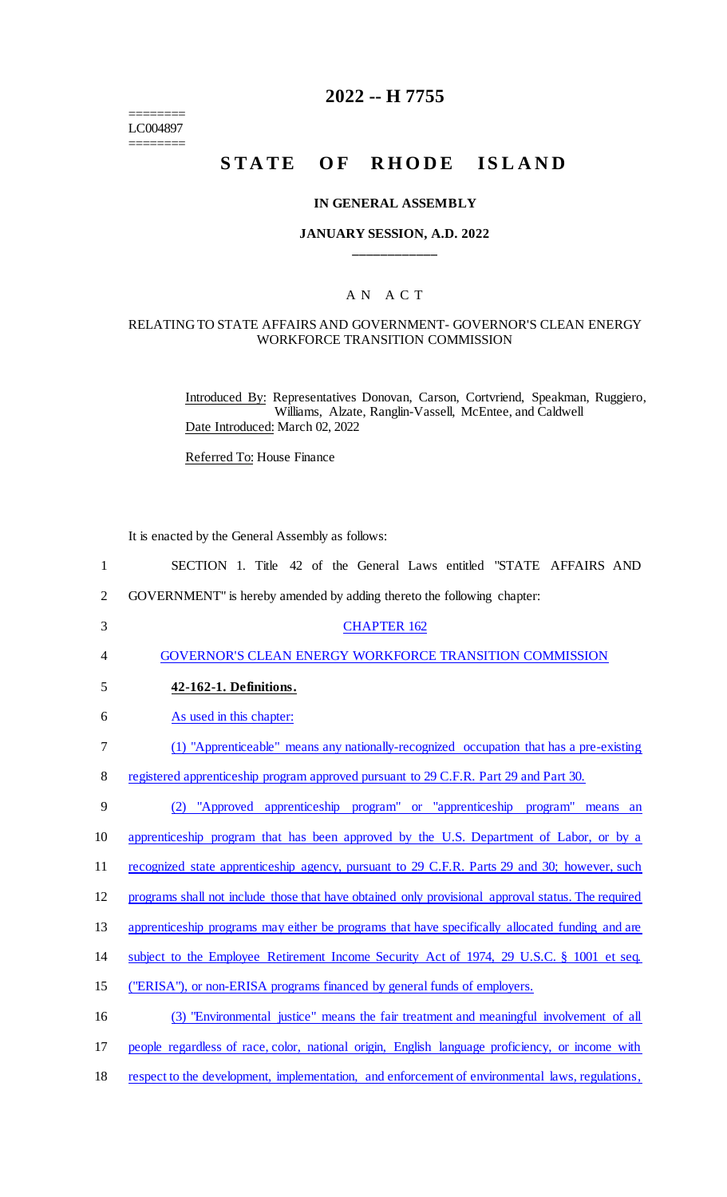======== LC004897 ========

# **2022 -- H 7755**

# **STATE OF RHODE ISLAND**

#### **IN GENERAL ASSEMBLY**

#### **JANUARY SESSION, A.D. 2022 \_\_\_\_\_\_\_\_\_\_\_\_**

## A N A C T

#### RELATING TO STATE AFFAIRS AND GOVERNMENT- GOVERNOR'S CLEAN ENERGY WORKFORCE TRANSITION COMMISSION

Introduced By: Representatives Donovan, Carson, Cortvriend, Speakman, Ruggiero, Williams, Alzate, Ranglin-Vassell, McEntee, and Caldwell Date Introduced: March 02, 2022

Referred To: House Finance

It is enacted by the General Assembly as follows:

| $\mathbf{1}$   | SECTION 1. Title 42 of the General Laws entitled "STATE AFFAIRS AND                                |
|----------------|----------------------------------------------------------------------------------------------------|
| $\overline{c}$ | GOVERNMENT" is hereby amended by adding thereto the following chapter:                             |
| 3              | <b>CHAPTER 162</b>                                                                                 |
| 4              | <b>GOVERNOR'S CLEAN ENERGY WORKFORCE TRANSITION COMMISSION</b>                                     |
| 5              | 42-162-1. Definitions.                                                                             |
| 6              | As used in this chapter:                                                                           |
| 7              | (1) "Apprenticeable" means any nationally-recognized occupation that has a pre-existing            |
| 8              | registered apprenticeship program approved pursuant to 29 C.F.R. Part 29 and Part 30.              |
| 9              | (2) "Approved apprenticeship program" or "apprenticeship program" means an                         |
| 10             | apprenticeship program that has been approved by the U.S. Department of Labor, or by a             |
| 11             | recognized state apprenticeship agency, pursuant to 29 C.F.R. Parts 29 and 30; however, such       |
| 12             | programs shall not include those that have obtained only provisional approval status. The required |
| 13             | apprenticeship programs may either be programs that have specifically allocated funding and are    |
| 14             | subject to the Employee Retirement Income Security Act of 1974, 29 U.S.C. § 1001 et seq.           |
| 15             | ("ERISA"), or non-ERISA programs financed by general funds of employers.                           |
| 16             | (3) "Environmental justice" means the fair treatment and meaningful involvement of all             |
| 17             | people regardless of race, color, national origin, English language proficiency, or income with    |
| 18             | respect to the development, implementation, and enforcement of environmental laws, regulations,    |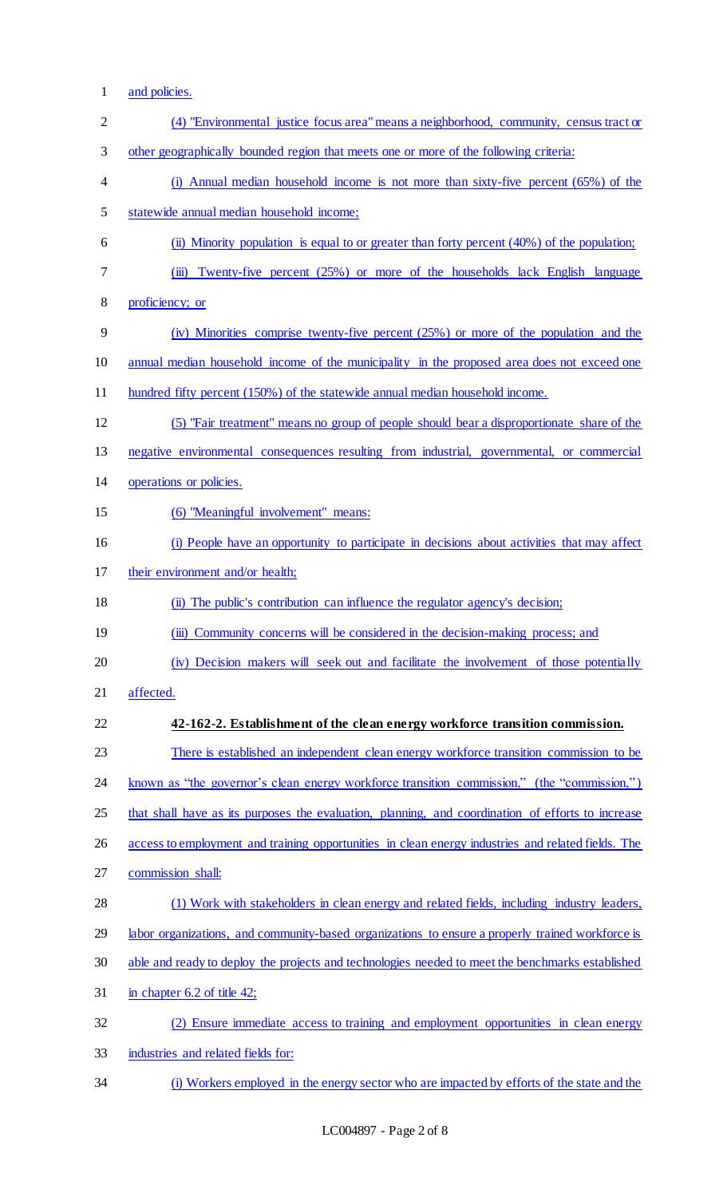- and policies.
- (4) "Environmental justice focus area" means a neighborhood, community, census tract or other geographically bounded region that meets one or more of the following criteria: (i) Annual median household income is not more than sixty-five percent (65%) of the statewide annual median household income; (ii) Minority population is equal to or greater than forty percent (40%) of the population; (iii) Twenty-five percent (25%) or more of the households lack English language proficiency; or (iv) Minorities comprise twenty-five percent (25%) or more of the population and the 10 annual median household income of the municipality in the proposed area does not exceed one hundred fifty percent (150%) of the statewide annual median household income. (5) "Fair treatment" means no group of people should bear a disproportionate share of the negative environmental consequences resulting from industrial, governmental, or commercial operations or policies. (6) "Meaningful involvement" means: (i) People have an opportunity to participate in decisions about activities that may affect 17 their environment and/or health; (ii) The public's contribution can influence the regulator agency's decision; 19 (iii) Community concerns will be considered in the decision-making process; and (iv) Decision makers will seek out and facilitate the involvement of those potentially affected. **42-162-2. Establishment of the clean energy workforce transition commission.** 23 There is established an independent clean energy workforce transition commission to be 24 known as "the governor's clean energy workforce transition commission," (the "commission,") that shall have as its purposes the evaluation, planning, and coordination of efforts to increase 26 access to employment and training opportunities in clean energy industries and related fields. The commission shall: (1) Work with stakeholders in clean energy and related fields, including industry leaders, labor organizations, and community-based organizations to ensure a properly trained workforce is able and ready to deploy the projects and technologies needed to meet the benchmarks established in chapter 6.2 of title 42; (2) Ensure immediate access to training and employment opportunities in clean energy industries and related fields for:
- (i) Workers employed in the energy sector who are impacted by efforts of the state and the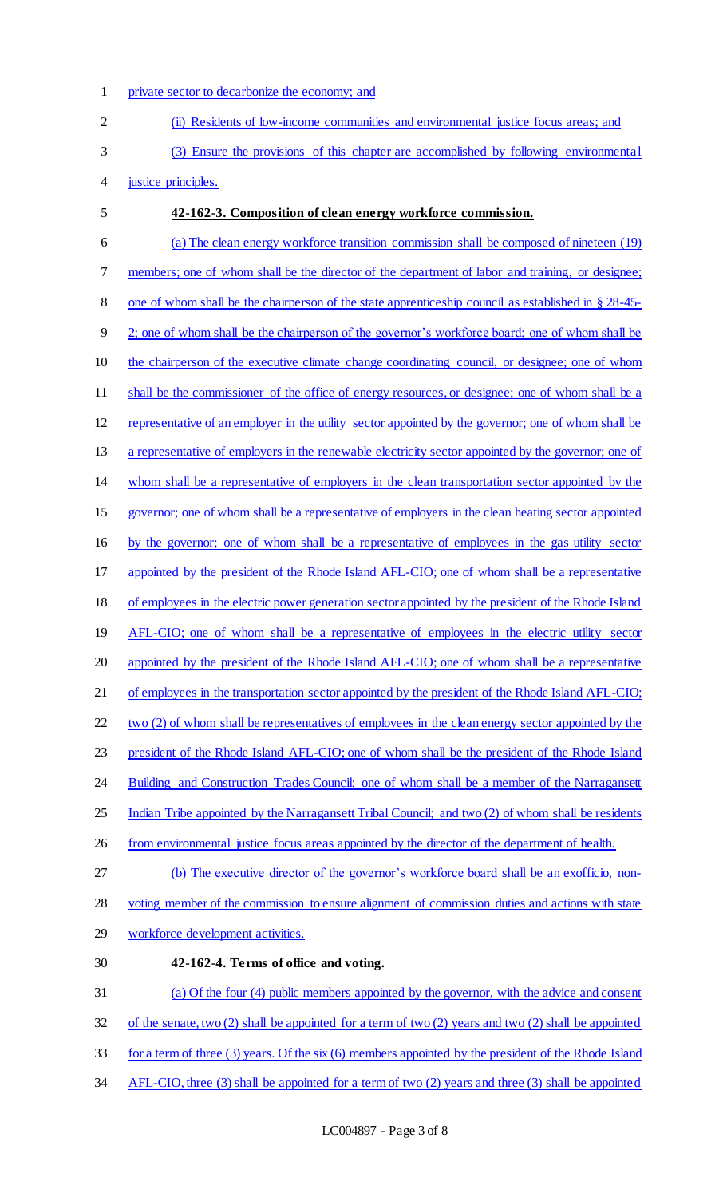private sector to decarbonize the economy; and

| $\overline{2}$ | (ii) Residents of low-income communities and environmental justice focus areas; and                        |
|----------------|------------------------------------------------------------------------------------------------------------|
| 3              | (3) Ensure the provisions of this chapter are accomplished by following environmental                      |
| 4              | justice principles.                                                                                        |
| 5              | 42-162-3. Composition of clean energy workforce commission.                                                |
| 6              | (a) The clean energy workforce transition commission shall be composed of nineteen (19)                    |
| 7              | members; one of whom shall be the director of the department of labor and training, or designee;           |
| 8              | one of whom shall be the chairperson of the state apprenticeship council as established in § 28-45-        |
| 9              | 2; one of whom shall be the chairperson of the governor's workforce board; one of whom shall be            |
| 10             | the chairperson of the executive climate change coordinating council, or designee; one of whom             |
| 11             | shall be the commissioner of the office of energy resources, or designee; one of whom shall be a           |
| 12             | representative of an employer in the utility sector appointed by the governor; one of whom shall be        |
| 13             | a representative of employers in the renewable electricity sector appointed by the governor; one of        |
| 14             | whom shall be a representative of employers in the clean transportation sector appointed by the            |
| 15             | governor; one of whom shall be a representative of employers in the clean heating sector appointed         |
| 16             | by the governor; one of whom shall be a representative of employees in the gas utility sector              |
| 17             | appointed by the president of the Rhode Island AFL-CIO; one of whom shall be a representative              |
| 18             | of employees in the electric power generation sector appointed by the president of the Rhode Island        |
| 19             | AFL-CIO; one of whom shall be a representative of employees in the electric utility sector                 |
| 20             | appointed by the president of the Rhode Island AFL-CIO; one of whom shall be a representative              |
| 21             | of employees in the transportation sector appointed by the president of the Rhode Island AFL-CIO;          |
| 22             | two (2) of whom shall be representatives of employees in the clean energy sector appointed by the          |
| 23             | president of the Rhode Island AFL-CIO; one of whom shall be the president of the Rhode Island              |
| 24             | Building and Construction Trades Council; one of whom shall be a member of the Narragansett                |
| 25             | Indian Tribe appointed by the Narragansett Tribal Council; and two (2) of whom shall be residents          |
| 26             | from environmental justice focus areas appointed by the director of the department of health.              |
| 27             | (b) The executive director of the governor's workforce board shall be an exofficio, non-                   |
| 28             | voting member of the commission to ensure alignment of commission duties and actions with state            |
| 29             | workforce development activities.                                                                          |
| 30             | 42-162-4. Terms of office and voting.                                                                      |
| 31             | (a) Of the four (4) public members appointed by the governor, with the advice and consent                  |
| 32             | of the senate, two $(2)$ shall be appointed for a term of two $(2)$ years and two $(2)$ shall be appointed |
| 33             | for a term of three $(3)$ years. Of the six $(6)$ members appointed by the president of the Rhode Island   |

AFL-CIO, three (3) shall be appointed for a term of two (2) years and three (3) shall be appointed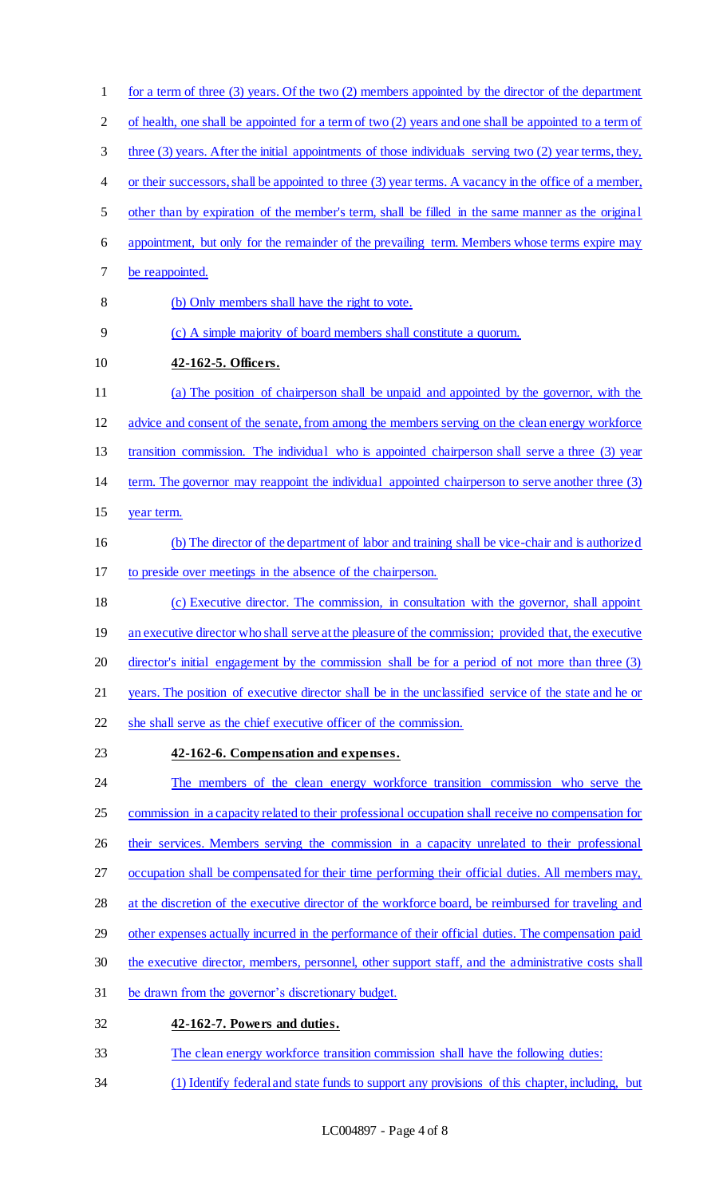1 for a term of three (3) years. Of the two (2) members appointed by the director of the department of health, one shall be appointed for a term of two (2) years and one shall be appointed to a term of three (3) years. After the initial appointments of those individuals serving two (2) year terms, they, or their successors, shall be appointed to three (3) year terms. A vacancy in the office of a member, other than by expiration of the member's term, shall be filled in the same manner as the original appointment, but only for the remainder of the prevailing term. Members whose terms expire may be reappointed. (b) Only members shall have the right to vote. (c) A simple majority of board members shall constitute a quorum. **42-162-5. Officers.** (a) The position of chairperson shall be unpaid and appointed by the governor, with the advice and consent of the senate, from among the members serving on the clean energy workforce transition commission. The individual who is appointed chairperson shall serve a three (3) year term. The governor may reappoint the individual appointed chairperson to serve another three (3) year term. (b) The director of the department of labor and training shall be vice-chair and is authorized to preside over meetings in the absence of the chairperson. (c) Executive director. The commission, in consultation with the governor, shall appoint 19 an executive director who shall serve at the pleasure of the commission; provided that, the executive director's initial engagement by the commission shall be for a period of not more than three (3) years. The position of executive director shall be in the unclassified service of the state and he or she shall serve as the chief executive officer of the commission. **42-162-6. Compensation and expenses.** The members of the clean energy workforce transition commission who serve the commission in a capacity related to their professional occupation shall receive no compensation for 26 their services. Members serving the commission in a capacity unrelated to their professional occupation shall be compensated for their time performing their official duties. All members may, at the discretion of the executive director of the workforce board, be reimbursed for traveling and other expenses actually incurred in the performance of their official duties. The compensation paid 30 the executive director, members, personnel, other support staff, and the administrative costs shall be drawn from the governor's discretionary budget. **42-162-7. Powers and duties.** The clean energy workforce transition commission shall have the following duties: (1) Identify federal and state funds to support any provisions of this chapter, including, but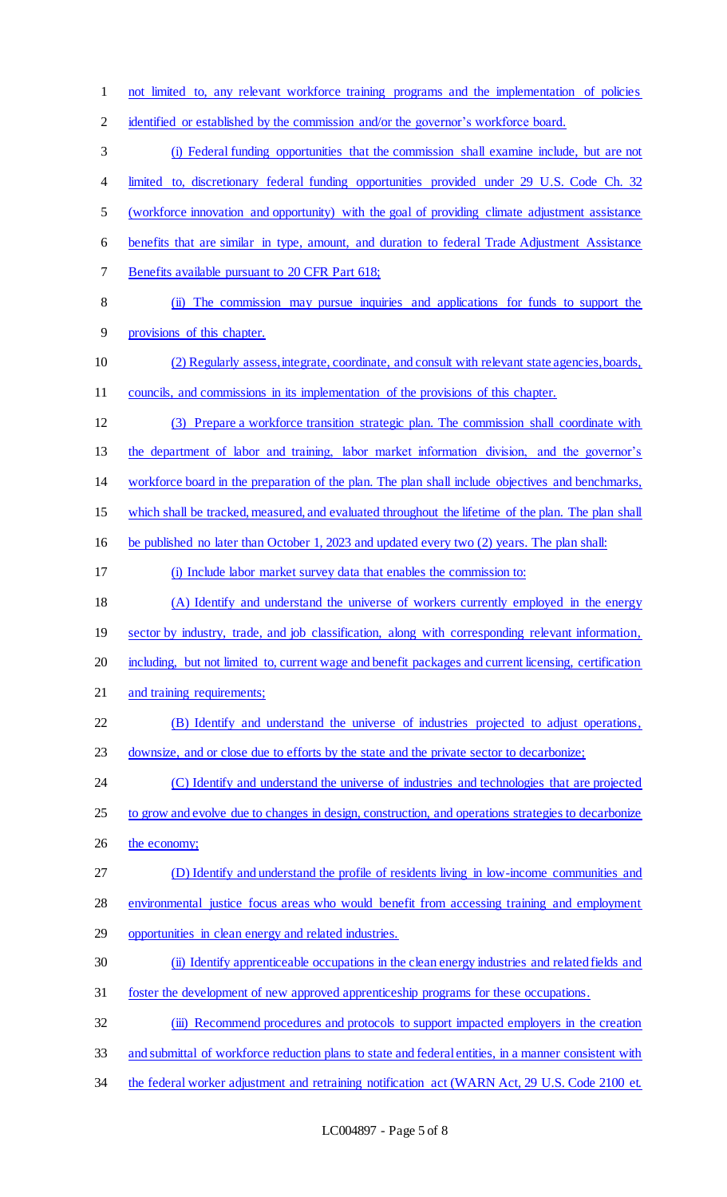not limited to, any relevant workforce training programs and the implementation of policies 2 identified or established by the commission and/or the governor's workforce board. (i) Federal funding opportunities that the commission shall examine include, but are not 4 limited to, discretionary federal funding opportunities provided under 29 U.S. Code Ch. 32 (workforce innovation and opportunity) with the goal of providing climate adjustment assistance benefits that are similar in type, amount, and duration to federal Trade Adjustment Assistance 7 Benefits available pursuant to 20 CFR Part 618; (ii) The commission may pursue inquiries and applications for funds to support the provisions of this chapter. (2) Regularly assess, integrate, coordinate, and consult with relevant state agencies, boards, councils, and commissions in its implementation of the provisions of this chapter. (3) Prepare a workforce transition strategic plan. The commission shall coordinate with the department of labor and training, labor market information division, and the governor's workforce board in the preparation of the plan. The plan shall include objectives and benchmarks, which shall be tracked, measured, and evaluated throughout the lifetime of the plan. The plan shall be published no later than October 1, 2023 and updated every two (2) years. The plan shall: (i) Include labor market survey data that enables the commission to: (A) Identify and understand the universe of workers currently employed in the energy 19 sector by industry, trade, and job classification, along with corresponding relevant information, including, but not limited to, current wage and benefit packages and current licensing, certification 21 and training requirements; (B) Identify and understand the universe of industries projected to adjust operations, 23 downsize, and or close due to efforts by the state and the private sector to decarbonize; 24 (C) Identify and understand the universe of industries and technologies that are projected to grow and evolve due to changes in design, construction, and operations strategies to decarbonize 26 the economy; (D) Identify and understand the profile of residents living in low-income communities and environmental justice focus areas who would benefit from accessing training and employment opportunities in clean energy and related industries. (ii) Identify apprenticeable occupations in the clean energy industries and related fields and foster the development of new approved apprenticeship programs for these occupations. 32 (iii) Recommend procedures and protocols to support impacted employers in the creation and submittal of workforce reduction plans to state and federal entities, in a manner consistent with

34 the federal worker adjustment and retraining notification act (WARN Act, 29 U.S. Code 2100 et.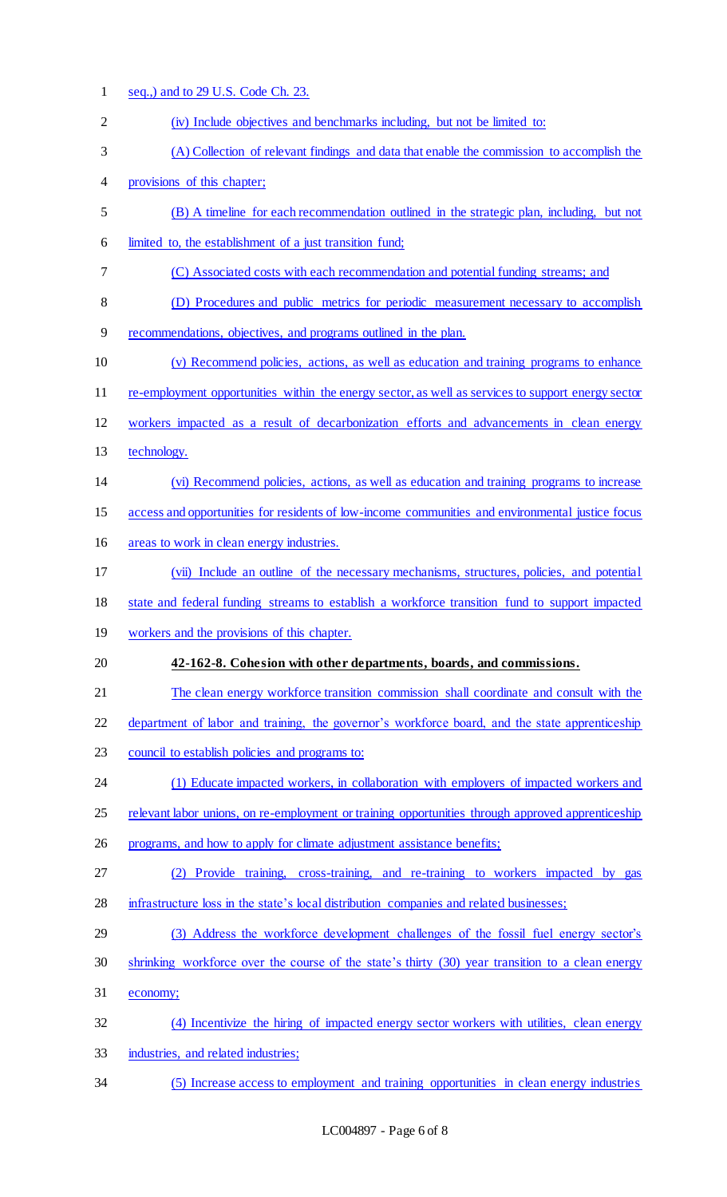seq.,) and to 29 U.S. Code Ch. 23. (iv) Include objectives and benchmarks including, but not be limited to: (A) Collection of relevant findings and data that enable the commission to accomplish the provisions of this chapter; (B) A timeline for each recommendation outlined in the strategic plan, including, but not limited to, the establishment of a just transition fund; (C) Associated costs with each recommendation and potential funding streams; and (D) Procedures and public metrics for periodic measurement necessary to accomplish recommendations, objectives, and programs outlined in the plan. (v) Recommend policies, actions, as well as education and training programs to enhance re-employment opportunities within the energy sector, as well as services to support energy sector workers impacted as a result of decarbonization efforts and advancements in clean energy technology. (vi) Recommend policies, actions, as well as education and training programs to increase access and opportunities for residents of low-income communities and environmental justice focus areas to work in clean energy industries. (vii) Include an outline of the necessary mechanisms, structures, policies, and potential state and federal funding streams to establish a workforce transition fund to support impacted workers and the provisions of this chapter. **42-162-8. Cohesion with other departments, boards, and commissions.** 21 The clean energy workforce transition commission shall coordinate and consult with the 22 department of labor and training, the governor's workforce board, and the state apprenticeship 23 council to establish policies and programs to: 24 (1) Educate impacted workers, in collaboration with employers of impacted workers and relevant labor unions, on re-employment or training opportunities through approved apprenticeship 26 programs, and how to apply for climate adjustment assistance benefits; (2) Provide training, cross-training, and re-training to workers impacted by gas infrastructure loss in the state's local distribution companies and related businesses; (3) Address the workforce development challenges of the fossil fuel energy sector's shrinking workforce over the course of the state's thirty (30) year transition to a clean energy economy; (4) Incentivize the hiring of impacted energy sector workers with utilities, clean energy industries, and related industries; (5) Increase access to employment and training opportunities in clean energy industries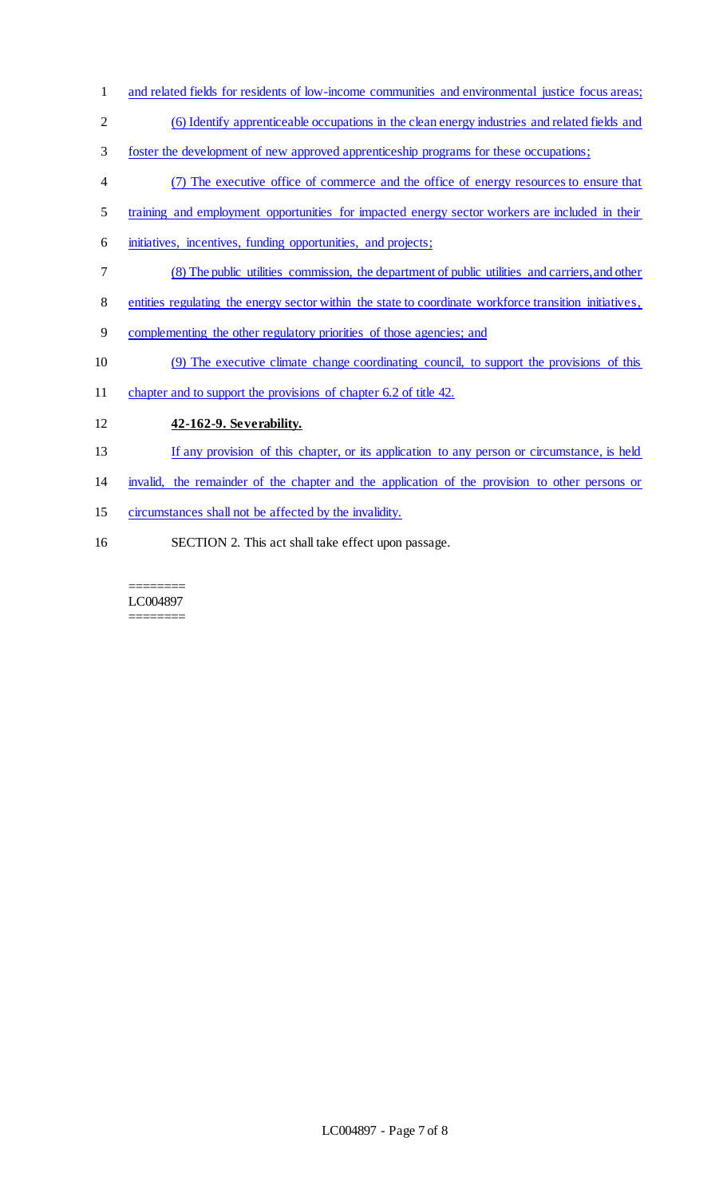- 1 and related fields for residents of low-income communities and environmental justice focus areas;
- (6) Identify apprenticeable occupations in the clean energy industries and related fields and
- foster the development of new approved apprenticeship programs for these occupations;
- (7) The executive office of commerce and the office of energy resources to ensure that
- 5 training and employment opportunities for impacted energy sector workers are included in their
- initiatives, incentives, funding opportunities, and projects;
- (8) The public utilities commission, the department of public utilities and carriers, and other
- entities regulating the energy sector within the state to coordinate workforce transition initiatives,
- complementing the other regulatory priorities of those agencies; and
- (9) The executive climate change coordinating council, to support the provisions of this
- 11 chapter and to support the provisions of chapter 6.2 of title 42.
- **42-162-9. Severability.**
- If any provision of this chapter, or its application to any person or circumstance, is held
- invalid, the remainder of the chapter and the application of the provision to other persons or
- circumstances shall not be affected by the invalidity.
- SECTION 2. This act shall take effect upon passage.

======== LC004897 ========